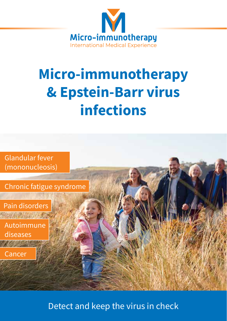

# **Micro-immunotherapy & Epstein-Barr virus infections**



Detect and keep the virus in check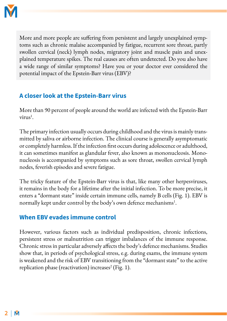

More and more people are suffering from persistent and largely unexplained symptoms such as chronic malaise accompanied by fatigue, recurrent sore throat, partly swollen cervical (neck) lymph nodes, migratory joint and muscle pain and unexplained temperature spikes. The real causes are often undetected. Do you also have a wide range of similar symptoms? Have you or your doctor ever considered the potential impact of the Epstein-Barr virus (EBV)?

## **A closer look at the Epstein-Barr virus**

More than 90 percent of people around the world are infected with the Epstein-Barr virus<sup>1</sup>.

The primary infection usually occurs during childhood and the virus is mainly transmitted by saliva or airborne infection. The clinical course is generally asymptomatic or completely harmless. If the infection first occurs during adolescence or adulthood, it can sometimes manifest as glandular fever, also known as mononucleosis. Mononucleosis is accompanied by symptoms such as sore throat, swollen cervical lymph nodes, feverish episodes and severe fatigue.

The tricky feature of the Epstein-Barr virus is that, like many other herpesviruses, it remains in the body for a lifetime after the initial infection. To be more precise, it enters a "dormant state" inside certain immune cells, namely B cells (Fig. 1). EBV is normally kept under control by the body's own defence mechanisms<sup>1</sup>.

#### **When EBV evades immune control**

However, various factors such as individual predisposition, chronic infections, persistent stress or malnutrition can trigger imbalances of the immune response. Chronic stress in particular adversely affects the body's defence mechanisms. Studies show that, in periods of psychological stress, e.g. during exams, the immune system is weakened and the risk of EBV transitioning from the "dormant state" to the active replication phase (reactivation) increases<sup>2</sup> (Fig. 1).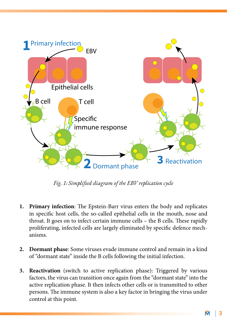

*Fig. 1: Simplified diagram of the EBV replication cycle*

- **1. Primary infection**: The Epstein-Barr virus enters the body and replicates in specific host cells, the so-called epithelial cells in the mouth, nose and throat. It goes on to infect certain immune cells – the B cells. These rapidly proliferating, infected cells are largely eliminated by specific defence mechanisms.
- **2. Dormant phase**: Some viruses evade immune control and remain in a kind of "dormant state" inside the B cells following the initial infection.
- **3. Reactivation** (switch to active replication phase): Triggered by various factors, the virus can transition once again from the "dormant state" into the active replication phase. It then infects other cells or is transmitted to other persons. The immune system is also a key factor in bringing the virus under control at this point.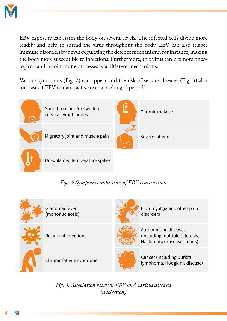

EBV exposure can harm the body on several levels. The infected cells divide more readily and help to spread the virus throughout the body. EBV can also trigger immune disorders by down-regulating the defence mechanisms, for instance, making the body more susceptible to infections. Furthermore, this virus can promote onco- $\rm logical^{3}$  and autoimmune processes $^{4}$  via different mechanisms.

Various symptoms (Fig. 2) can appear and the risk of serious diseases (Fig. 3) also increases if EBV remains active over a prolonged period<sup>5</sup>.



Unexplained temperature spikes

#### *Fig. 2: Symptoms indicative of EBV reactivation*

| Glandular fever<br>(mononucleosis) | Fibromyalgia and other pain<br>disorders                                             |
|------------------------------------|--------------------------------------------------------------------------------------|
| <b>Recurrent infections</b>        | Autoimmune diseases<br>(including multiple sclerosis,<br>Hashimoto's disease, Lupus) |
| Chronic fatigue syndrome           | <b>Cancer (including Burkitt)</b><br>lymphoma, Hodgkin's disease)                    |

*Fig. 3: Association between EBV and various diseases (a selection)*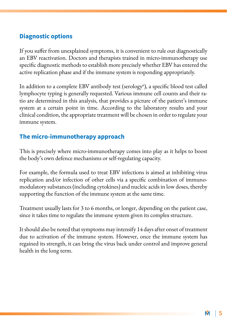#### **Diagnostic options**

If you suffer from unexplained symptoms, it is convenient to rule out diagnostically an EBV reactivation. Doctors and therapists trained in micro-immunotherapy use specific diagnostic methods to establish more precisely whether EBV has entered the active replication phase and if the immune system is responding appropriately.

In addition to a complete EBV antibody test (serology<sup>6</sup>), a specific blood test called lymphocyte typing is generally requested. Various immune cell counts and their ratio are determined in this analysis, that provides a picture of the patient's immune system at a certain point in time. According to the laboratory results and your clinical condition, the appropriate treatment will be chosen in order to regulate your immune system.

## **The micro-immunotherapy approach**

This is precisely where micro-immunotherapy comes into play as it helps to boost the body's own defence mechanisms or self-regulating capacity.

For example, the formula used to treat EBV infections is aimed at inhibiting virus replication and/or infection of other cells via a specific combination of immunomodulatory substances (including cytokines) and nucleic acids in low doses, thereby supporting the function of the immune system at the same time.

Treatment usually lasts for 3 to 6 months, or longer, depending on the patient case, since it takes time to regulate the immune system given its complex structure.

It should also be noted that symptoms may intensify 14 days after onset of treatment due to activation of the immune system. However, once the immune system has regained its strength, it can bring the virus back under control and improve general health in the long term.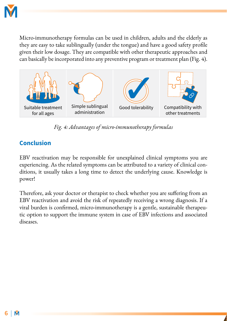

Micro-immunotherapy formulas can be used in children, adults and the elderly as they are easy to take sublingually (under the tongue) and have a good safety profile given their low dosage. They are compatible with other therapeutic approaches and can basically be incorporated into any preventive program or treatment plan (Fig. 4).



*Fig. 4: Advantages of micro-immunotherapy formulas*

#### **Conclusion**

EBV reactivation may be responsible for unexplained clinical symptoms you are experiencing. As the related symptoms can be attributed to a variety of clinical conditions, it usually takes a long time to detect the underlying cause. Knowledge is power!

Therefore, ask your doctor or therapist to check whether you are suffering from an EBV reactivation and avoid the risk of repeatedly receiving a wrong diagnosis. If a viral burden is confirmed, micro-immunotherapy is a gentle, sustainable therapeutic option to support the immune system in case of EBV infections and associated diseases.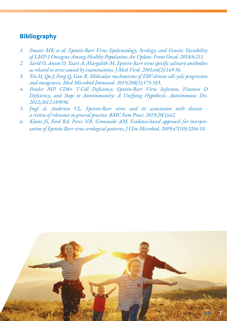#### **Bibliography**

- *1. Smatti MK et al. Epstein-Barr Virus Epidemiology, Serology, and Genetic Variability of LMP-1 Oncogene Among Healthy Population: An Update. Front Oncol. 2018;8:211.*
- *2. Sarid O, Anson O, Yaari A, Margalith M. Epstein-Barr virus specific salivary antibodies as related to stress caused by examinations. J Med Virol. 2001;64(2):149-56.*
- *3. Yin H, Qu J, Peng Q, Gan R. Molecular mechanisms of EBV-driven cell cycle progression and oncogenesis. Med Microbiol Immunol. 2019;208(5):573-583.*
- *4. Pender MP. CD8+ T-Cell Deficiency, Epstein-Barr Virus Infection, Vitamin D Deficiency, and Steps to Autoimmunity: A Unifying Hypothesis. Autoimmune Dis. 2012;2012:189096.*
- *5. Fugl A, Andersen CL. Epstein-Barr virus and its association with disease a review of relevance to general practice. BMC Fam Pract. 2019;20(1):62.*
- *6. Klutts JS, Ford BA, Perez NR, Gronowski AM. Evidence-based approach for interpretation of Epstein-Barr virus serological patterns. J Clin Microbiol. 2009;47(10):3204-10.*